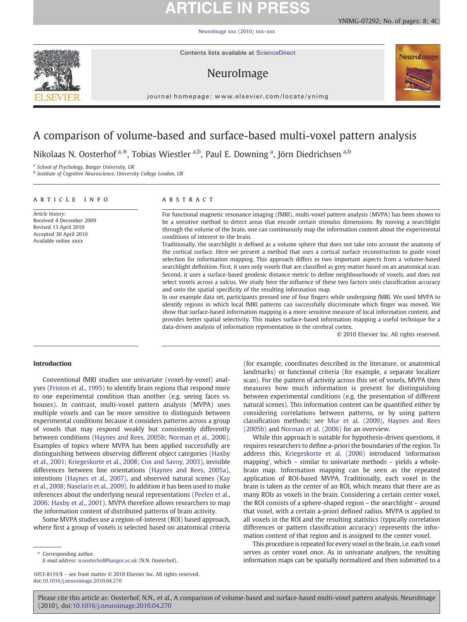# **ARTICLE IN PRESS**

[NeuroImage xxx \(2010\) xxx](http://dx.doi.org/10.1016/j.neuroimage.2010.04.270)–xxx



Contents lists available at ScienceDirect

## NeuroImage





journal homepage: www.elsevier.com/locate/ynimg

## A comparison of volume-based and surface-based multi-voxel pattern analysis

Nikolaas N. Oosterhof <sup>a,\*</sup>, Tobias Wiestler <sup>a,b</sup>, Paul E. Downing <sup>a</sup>, Jörn Diedrichsen <sup>a,b</sup>

<sup>a</sup> School of Psychology, Bangor University, UK

**b** Institute of Cognitive Neuroscience, University College London, UK

### article info abstract

Article history: Received 4 December 2009 Revised 13 April 2010 Accepted 30 April 2010 Available online xxxx

For functional magnetic resonance imaging (fMRI), multi-voxel pattern analysis (MVPA) has been shown to be a sensitive method to detect areas that encode certain stimulus dimensions. By moving a searchlight through the volume of the brain, one can continuously map the information content about the experimental conditions of interest to the brain.

Traditionally, the searchlight is defined as a volume sphere that does not take into account the anatomy of the cortical surface. Here we present a method that uses a cortical surface reconstruction to guide voxel selection for information mapping. This approach differs in two important aspects from a volume-based searchlight definition. First, it uses only voxels that are classified as grey matter based on an anatomical scan. Second, it uses a surface-based geodesic distance metric to define neighbourhoods of voxels, and does not select voxels across a sulcus. We study here the influence of these two factors onto classification accuracy and onto the spatial specificity of the resulting information map.

In our example data set, participants pressed one of four fingers while undergoing fMRI. We used MVPA to identify regions in which local fMRI patterns can successfully discriminate which finger was moved. We show that surface-based information mapping is a more sensitive measure of local information content, and provides better spatial selectivity. This makes surface-based information mapping a useful technique for a data-driven analysis of information representation in the cerebral cortex.

© 2010 Elsevier Inc. All rights reserved.

### Introduction

Conventional fMRI studies use univariate (voxel-by-voxel) analyses ([Friston et al., 1995\)](#page-6-0) to identify brain regions that respond more to one experimental condition than another (e.g. seeing faces vs. houses). In contrast, multi-voxel pattern analysis (MVPA) uses multiple voxels and can be more sensitive to distinguish between experimental conditions because it considers patterns across a group of voxels that may respond weakly but consistently differently between conditions ([Haynes and Rees, 2005b; Norman et al., 2006](#page-6-0)). Examples of topics where MVPA has been applied successfully are distinguishing between observing different object categories [\(Haxby](#page-6-0) [et al., 2001; Kriegeskorte et al., 2008; Cox and Savoy, 2003](#page-6-0)), invisible differences between line orientations [\(Haynes and Rees, 2005a](#page-6-0)), intentions [\(Haynes et al., 2007](#page-6-0)), and observed natural scenes [\(Kay](#page-6-0) [et al., 2008; Naselaris et al., 2009](#page-6-0)). In addition it has been used to make inferences about the underlying neural representations [\(Peelen et al.,](#page-6-0) [2006; Haxby et al., 2001\)](#page-6-0). MVPA therefore allows researchers to map the information content of distributed patterns of brain activity.

Some MVPA studies use a region-of-interest (ROI) based approach, where first a group of voxels is selected based on anatomical criteria

⁎ Corresponding author. E-mail address: [n.oosterhof@bangor.ac.uk](mailto:n.oosterhof@bangor.ac.uk) (N.N. Oosterhof).

(for example, coordinates described in the literature, or anatomical landmarks) or functional criteria (for example, a separate localizer scan). For the pattern of activity across this set of voxels, MVPA then measures how much information is present for distinguishing between experimental conditions (e.g. the presentation of different natural scenes). This information content can be quantified either by considering correlations between patterns, or by using pattern classification methods; see [Mur et al. \(2009\)](#page-6-0), [Haynes and Rees](#page-6-0) [\(2005b\)](#page-6-0) and [Norman et al. \(2006\)](#page-6-0) for an overview.

While this approach is suitable for hypothesis-driven questions, it requires researchers to define a-priori the boundaries of the region. To address this, [Kriegeskorte et al. \(2006\)](#page-6-0) introduced 'information mapping', which – similar to univariate methods – yields a wholebrain map. Information mapping can be seen as the repeated application of ROI-based MVPA. Traditionally, each voxel in the brain is taken as the center of an ROI, which means that there are as many ROIs as voxels in the brain. Considering a certain center voxel, the ROI consists of a sphere-shaped region – the searchlight – around that voxel, with a certain a-priori defined radius. MVPA is applied to all voxels in the ROI and the resulting statistics (typically correlation differences or pattern classification accuracy) represents the information content of that region and is assigned to the center voxel.

This procedure is repeated for every voxel in the brain, i.e. each voxel serves as center voxel once. As in univariate analyses, the resulting information maps can be spatially normalized and then submitted to a

<sup>1053-8119/\$</sup> – see front matter © 2010 Elsevier Inc. All rights reserved. doi:[10.1016/j.neuroimage.2010.04.270](http://dx.doi.org/10.1016/j.neuroimage.2010.04.270)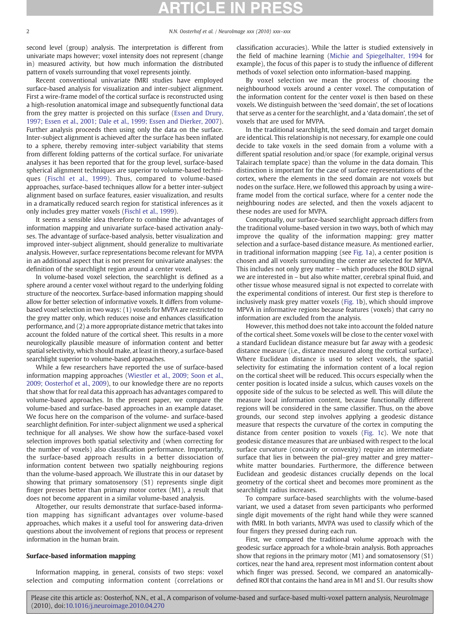second level (group) analysis. The interpretation is different from univariate maps however; voxel intensity does not represent (change in) measured activity, but how much information the distributed pattern of voxels surrounding that voxel represents jointly.

Recent conventional univariate fMRI studies have employed surface-based analysis for visualization and inter-subject alignment. First a wire-frame model of the cortical surface is reconstructed using a high-resolution anatomical image and subsequently functional data from the grey matter is projected on this surface [\(Essen and Drury,](#page-6-0) [1997; Essen et al., 2001; Dale et al., 1999; Essen and Dierker, 2007](#page-6-0)). Further analysis proceeds then using only the data on the surface. Inter-subject alignment is achieved after the surface has been inflated to a sphere, thereby removing inter-subject variability that stems from different folding patterns of the cortical surface. For univariate analyses it has been reported that for the group level, surface-based spherical alignment techniques are superior to volume-based techniques ([Fischl et al., 1999\)](#page-6-0). Thus, compared to volume-based approaches, surface-based techniques allow for a better inter-subject alignment based on surface features, easier visualization, and results in a dramatically reduced search region for statistical inferences as it only includes grey matter voxels ([Fischl et al., 1999](#page-6-0)).

It seems a sensible idea therefore to combine the advantages of information mapping and univariate surface-based activation analyses. The advantage of surface-based analysis, better visualization and improved inter-subject alignment, should generalize to multivariate analysis. However, surface representations become relevant for MVPA in an additional aspect that is not present for univariate analyses: the definition of the searchlight region around a center voxel.

In volume-based voxel selection, the searchlight is defined as a sphere around a center voxel without regard to the underlying folding structure of the neocortex. Surface-based information mapping should allow for better selection of informative voxels. It differs from volumebased voxel selection in two ways: (1) voxels for MVPA are restricted to the grey matter only, which reduces noise and enhances classification performance, and (2) a more appropriate distance metric that takes into account the folded nature of the cortical sheet. This results in a more neurologically plausible measure of information content and better spatial selectivity, which should make, at least in theory, a surface-based searchlight superior to volume-based approaches.

While a few researchers have reported the use of surface-based information mapping approaches [\(Wiestler et al., 2009; Soon et al.,](#page-7-0) [2009; Oosterhof et al., 2009\)](#page-7-0), to our knowledge there are no reports that show that for real data this approach has advantages compared to volume-based approaches. In the present paper, we compare the volume-based and surface-based approaches in an example dataset. We focus here on the comparison of the volume- and surface-based searchlight definition. For inter-subject alignment we used a spherical technique for all analyses. We show how the surface-based voxel selection improves both spatial selectivity and (when correcting for the number of voxels) also classification performance. Importantly, the surface-based approach results in a better dissociation of information content between two spatially neighbouring regions than the volume-based approach. We illustrate this in our dataset by showing that primary somatosensory (S1) represents single digit finger presses better than primary motor cortex (M1), a result that does not become apparent in a similar volume-based analysis.

Altogether, our results demonstrate that surface-based information mapping has significant advantages over volume-based approaches, which makes it a useful tool for answering data-driven questions about the involvement of regions that process or represent information in the human brain.

### Surface-based information mapping

Information mapping, in general, consists of two steps: voxel selection and computing information content (correlations or classification accuracies). While the latter is studied extensively in the field of machine learning [\(Michie and Spiegelhalter, 1994](#page-6-0) for example), the focus of this paper is to study the influence of different methods of voxel selection onto information-based mapping.

By voxel selection we mean the process of choosing the neighbourhood voxels around a center voxel. The computation of the information content for the center voxel is then based on these voxels. We distinguish between the 'seed domain', the set of locations that serve as a center for the searchlight, and a 'data domain', the set of voxels that are used for MVPA.

In the traditional searchlight, the seed domain and target domain are identical. This relationship is not necessary, for example one could decide to take voxels in the seed domain from a volume with a different spatial resolution and/or space (for example, original versus Talairach template space) than the volume in the data domain. This distinction is important for the case of surface representations of the cortex, where the elements in the seed domain are not voxels but nodes on the surface. Here, we followed this approach by using a wireframe model from the cortical surface, where for a center node the neighbouring nodes are selected, and then the voxels adjacent to these nodes are used for MVPA.

Conceptually, our surface-based searchlight approach differs from the traditional volume-based version in two ways, both of which may improve the quality of the information mapping: grey matter selection and a surface-based distance measure. As mentioned earlier, in traditional information mapping (see [Fig. 1a](#page-2-0)), a center position is chosen and all voxels surrounding the center are selected for MPVA. This includes not only grey matter – which produces the BOLD signal we are interested in – but also white matter, cerebral spinal fluid, and other tissue whose measured signal is not expected to correlate with the experimental conditions of interest. Our first step is therefore to inclusively mask grey matter voxels ([Fig. 1](#page-2-0)b), which should improve MPVA in informative regions because features (voxels) that carry no information are excluded from the analysis.

However, this method does not take into account the folded nature of the cortical sheet. Some voxels will be close to the center voxel with a standard Euclidean distance measure but far away with a geodesic distance measure (i.e., distance measured along the cortical surface). Where Euclidean distance is used to select voxels, the spatial selectivity for estimating the information content of a local region on the cortical sheet will be reduced. This occurs especially when the center position is located inside a sulcus, which causes voxels on the opposite side of the sulcus to be selected as well. This will dilute the measure local information content, because functionally different regions will be considered in the same classifier. Thus, on the above grounds, our second step involves applying a geodesic distance measure that respects the curvature of the cortex in computing the distance from center position to voxels [\(Fig. 1](#page-2-0)c). We note that geodesic distance measures that are unbiased with respect to the local surface curvature (concavity or convexity) require an intermediate surface that lies in between the pial–grey matter and grey matter– white matter boundaries. Furthermore, the difference between Euclidean and geodesic distances crucially depends on the local geometry of the cortical sheet and becomes more prominent as the searchlight radius increases.

To compare surface-based searchlights with the volume-based variant, we used a dataset from seven participants who performed single digit movements of the right hand while they were scanned with fMRI. In both variants, MVPA was used to classify which of the four fingers they pressed during each run.

First, we compared the traditional volume approach with the geodesic surface approach for a whole-brain analysis. Both approaches show that regions in the primary motor (M1) and somatosensory (S1) cortices, near the hand area, represent most information content about which finger was pressed. Second, we compared an anatomicallydefined ROI that contains the hand area in M1 and S1. Our results show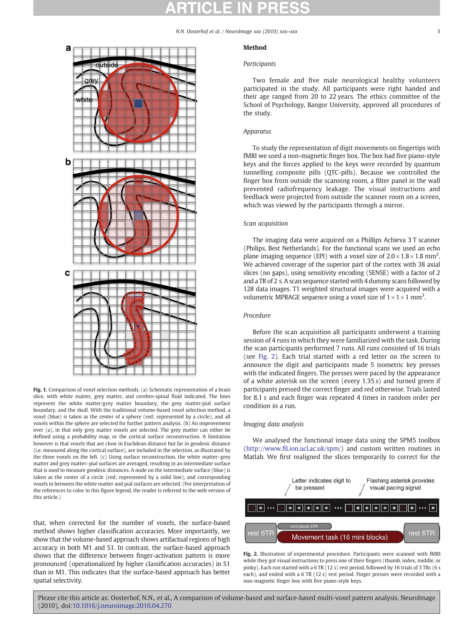### N.N. Oosterhof et al. / NeuroImage xxx (2010) xxx–xxx 33

<span id="page-2-0"></span>

Fig. 1. Comparison of voxel selection methods. (a) Schematic representation of a brain slice, with white matter, grey matter, and cerebro-spinal fluid indicated. The lines represent the white matter/grey matter boundary, the grey matter/pial surface boundary, and the skull. With the traditional volume-based voxel selection method, a voxel (blue) is taken as the center of a sphere (red; represented by a circle), and all voxels within the sphere are selected for further pattern analysis. (b) An improvement over (a), in that only grey matter voxels are selected. The grey matter can either be defined using a probability map, or the cortical surface reconstruction. A limitation however is that voxels that are close in Euclidean distance but far in geodesic distance (i.e. measured along the cortical surface), are included in the selection, as illustrated by the three voxels on the left. (c) Using surface reconstruction, the white matter–grey matter and grey matter–pial surfaces are averaged, resulting in an intermediate surface that is used to measure geodesic distances. A node on the intermediate surface (blue) is taken as the center of a circle (red; represented by a solid line), and corresponding voxels in between the white matter and pial surfaces are selected. (For interpretation of the references to color in this figure legend, the reader is referred to the web version of this article.)

that, when corrected for the number of voxels, the surface-based method shows higher classification accuracies. More importantly, we show that the volume-based approach shows artifactual regions of high accuracy in both M1 and S1. In contrast, the surface-based approach shows that the difference between finger-activation pattern is more pronounced (operationalized by higher classification accuracies) in S1 than in M1. This indicates that the surface-based approach has better spatial selectivity.

### Method

### Participants

Two female and five male neurological healthy volunteers participated in the study. All participants were right handed and their age ranged from 20 to 22 years. The ethics committee of the School of Psychology, Bangor University, approved all procedures of the study.

### Apparatus

To study the representation of digit movements on fingertips with fMRI we used a non-magnetic finger box. The box had five piano-style keys and the forces applied to the keys were recorded by quantum tunnelling composite pills (QTC-pills). Because we controlled the finger box from outside the scanning room, a filter panel in the wall prevented radiofrequency leakage. The visual instructions and feedback were projected from outside the scanner room on a screen, which was viewed by the participants through a mirror.

### Scan acquisition

The imaging data were acquired on a Phillips Achieva 3 T scanner (Philips, Best Netherlands). For the functional scans we used an echo plane imaging sequence (EPI) with a voxel size of  $2.0 \times 1.8 \times 1.8$  mm<sup>3</sup>. We achieved coverage of the superior part of the cortex with 38 axial slices (no gaps), using sensitivity encoding (SENSE) with a factor of 2 and a TR of 2 s. A scan sequence started with 4 dummy scans followed by 128 data images. T1 weighted structural images were acquired with a volumetric MPRAGE sequence using a voxel size of  $1 \times 1 \times 1$  mm<sup>3</sup>.

### Procedure

Before the scan acquisition all participants underwent a training session of 4 runs in which they were familiarized with the task. During the scan participants performed 7 runs. All runs consisted of 16 trials (see Fig. 2). Each trial started with a red letter on the screen to announce the digit and participants made 5 isometric key presses with the indicated fingers. The presses were paced by the appearance of a white asterisk on the screen (every 1.35 s) and turned green if participants pressed the correct finger and red otherwise. Trials lasted for 8.1 s and each finger was repeated 4 times in random order per condition in a run.

### Imaging data analysis

We analysed the functional image data using the SPM5 toolbox (http://www.fi[l.ion.ucl.ac.uk/spm/](http://www.fil.ion.ucl.ac.uk/spm/)) and custom written routines in Matlab. We first realigned the slices temporarily to correct for the



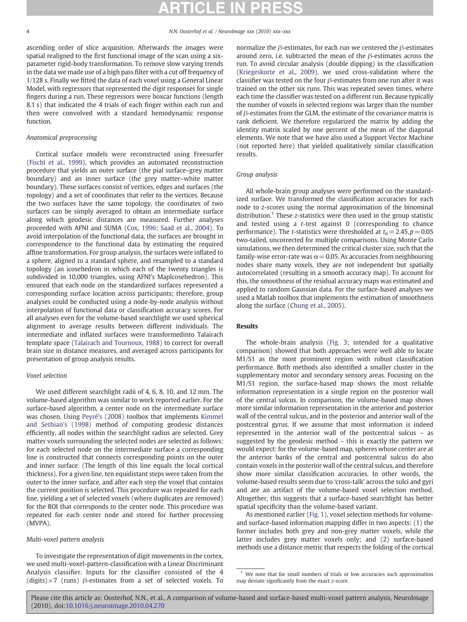ascending order of slice acquisition. Afterwards the images were spatial realigned to the first functional image of the scan using a sixparameter rigid-body transformation. To remove slow varying trends in the data we made use of a high pass filter with a cut off frequency of 1/128 s. Finally we fitted the data of each voxel using a General Linear Model, with regressors that represented the digit responses for single fingers during a run. These regressors were boxcar functions (length 8.1 s) that indicated the 4 trials of each finger within each run and then were convolved with a standard hemodynamic response function.

### Anatomical preprocessing

Cortical surface models were reconstructed using Freesurfer [\(Fischl et al., 1999](#page-6-0)), which provides an automated reconstruction procedure that yields an outer surface (the pial surface–grey matter boundary) and an inner surface (the grey matter–white matter boundary). These surfaces consist of vertices, edges and surfaces (the topology) and a set of coordinates that refer to the vertices. Because the two surfaces have the same topology, the coordinates of two surfaces can be simply averaged to obtain an intermediate surface along which geodesic distances are measured. Further analyses proceeded with AFNI and SUMA [\(Cox, 1996; Saad et al., 2004](#page-6-0)). To avoid interpolation of the functional data, the surfaces are brought in correspondence to the functional data by estimating the required affine transformation. For group analysis, the surfaces were inflated to a sphere, aligned to a standard sphere, and resampled to a standard topology (an icosehedron in which each of the twenty triangles is subdivided in 10,000 triangles, using AFNI's MapIcosehedron). This ensured that each node on the standardized surfaces represented a corresponding surface location across participants; therefore, group analyses could be conducted using a node-by-node analysis without interpolation of functional data or classification accuracy scores. For all analyses even for the volume-based searchlight we used spherical alignment to average results between different individuals. The intermediate and inflated surfaces were transformedinto Talairach template space ([Talairach and Tournoux, 1988\)](#page-7-0) to correct for overall brain size in distance measures, and averaged across participants for presentation of group analysis results.

### Voxel selection

We used different searchlight radii of 4, 6, 8, 10, and 12 mm. The volume-based algorithm was similar to work reported earlier. For the surface-based algorithm, a center node on the intermediate surface was chosen. Using [Peyré's \(2008\)](http://www.ceremade.dauphine.fr/peyre/matlab/fast-marching/content.html) toolbox that implements [Kimmel](#page-6-0) [and Sethian's \(1998\)](#page-6-0) method of computing geodesic distances efficiently, all nodes within the searchlight radius are selected. Grey matter voxels surrounding the selected nodes are selected as follows: for each selected node on the intermediate surface a corresponding line is constructed that connects corresponding points on the outer and inner surface. (The length of this line equals the local cortical thickness). For a given line, ten equidistant steps were taken from the outer to the inner surface, and after each step the voxel that contains the current position is selected. This procedure was repeated for each line, yielding a set of selected voxels (where duplicates are removed) for the ROI that corresponds to the center node. This procedure was repeated for each center node and stored for further processing (MVPA).

### Multi-voxel pattern analysis

To investigate the representation of digit movements in the cortex, we used multi-voxel-pattern-classification with a Linear Discriminant Analysis classifier. Inputs for the classifier consisted of the 4 (digits) $\times$ 7 (runs)  $\beta$ -estimates from a set of selected voxels. To

normalize the β-estimates, for each run we centered the β-estimates around zero, i.e. subtracted the mean of the  $\beta$ -estimates across the run. To avoid circular analysis (double dipping) in the classification [\(Kriegeskorte et al., 2009](#page-6-0)), we used cross-validation where the classifier was tested on the four  $\beta$ -estimates from one run after it was trained on the other six runs. This was repeated seven times, where each time the classifier was tested on a different run. Because typically the number of voxels in selected regions was larger than the number of  $\beta$ -estimates from the GLM, the estimate of the covariance matrix is rank deficient. We therefore regularized the matrix by adding the identity matrix scaled by one percent of the mean of the diagonal elements. We note that we have also used a Support Vector Machine (not reported here) that yielded qualitatively similar classification results.

### Group analysis

All whole-brain group analyses were performed on the standardized surface. We transformed the classification accuracies for each node to z-scores using the normal approximation of the binominal distribution.<sup>1</sup> These z-statistics were then used in the group statistic and tested using a t-test against 0 (corresponding to chance performance). The *t*-statistics were thresholded at  $t_6 = 2.45, p = 0.05$ two-tailed, uncorrected for multiple comparisons. Using Monte Carlo simulations, we then determined the critical cluster size, such that the family-wise error-rate was  $\alpha$  = 0.05. As accuracies from neighbouring nodes share many voxels, they are not independent but spatially autocorrelated (resulting in a smooth accuracy map). To account for this, the smoothness of the residual accuracy maps was estimated and applied to random Gaussian data. For the surface-based analyses we used a Matlab toolbox that implements the estimation of smoothness along the surface [\(Chung et al., 2005\)](#page-6-0).

### Results

The whole-brain analysis ([Fig. 3;](#page-4-0) intended for a qualitative comparison) showed that both approaches were well able to locate M1/S1 as the most prominent region with robust classification performance. Both methods also identified a smaller cluster in the supplementary motor and secondary sensory areas. Focusing on the M1/S1 region, the surface-based map shows the most reliable information representation in a single region on the posterior wall of the central sulcus. In comparison, the volume-based map shows more similar information representation in the anterior and posterior wall of the central sulcus, and in the posterior and anterior wall of the postcentral gyrus. If we assume that most information is indeed represented in the anterior wall of the postcentral sulcus – as suggested by the geodesic method – this is exactly the pattern we would expect: for the volume-based map, spheres whose center are at the anterior banks of the central and postcentral sulcus do also contain voxels in the posterior wall of the central sulcus, and therefore show more similar classification accuracies. In other words, the volume-based results seem due to 'cross-talk' across the sulci and gyri and are an artifact of the volume-based voxel selection method. Altogether, this suggests that a surface-based searchlight has better spatial specificity than the volume-based variant.

As mentioned earlier ([Fig. 1\)](#page-2-0), voxel selection methods for volumeand surface-based information mapping differ in two aspects: (1) the former includes both grey and non-grey matter voxels, while the latter includes grey matter voxels only; and (2) surface-based methods use a distance metric that respects the folding of the cortical

 $1$  We note that for small numbers of trials or low accuracies such approximation may deviate significantly from the exact z-score.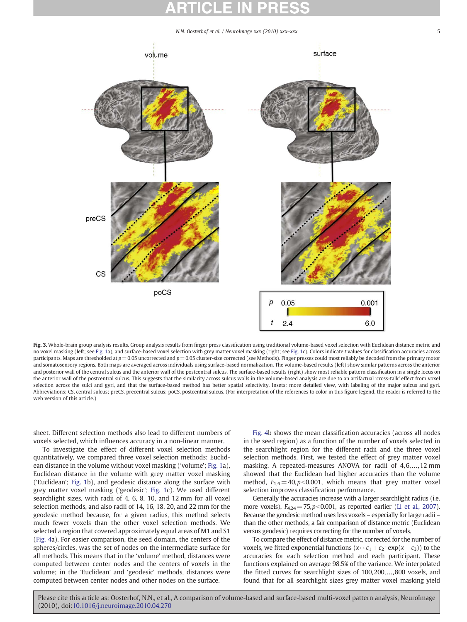N.N. Oosterhof et al. / NeuroImage xxx (2010) xxx-xxx

<span id="page-4-0"></span>

Fig. 3. Whole-brain group analysis results. Group analysis results from finger press classification using traditional volume-based voxel selection with Euclidean distance metric and no voxel masking (left; see [Fig. 1](#page-2-0)a), and surface-based voxel selection with grey matter voxel masking (right; see [Fig. 1](#page-2-0)c). Colors indicate t values for classification accuracies across participants. Maps are thresholded at  $p=0.05$  uncorrected and  $p=0.05$  cluster-size corrected (see Methods). Finger presses could most reliably be decoded from the primary motor and somatosensory regions. Both maps are averaged across individuals using surface-based normalization. The volume-based results (left) show similar patterns across the anterior and posterior wall of the central sulcus and the anterior wall of the postcentral sulcus. The surface-based results (right) show most reliable pattern classification in a single locus on the anterior wall of the postcentral sulcus. This suggests that the similarity across sulcus walls in the volume-based analysis are due to an artifactual 'cross-talk' effect from voxel selection across the sulci and gyri, and that the surface-based method has better spatial selectivity. Insets: more detailed view, with labeling of the major sulcus and gyri. Abbreviations: CS, central sulcus; preCS, precentral sulcus; poCS, postcentral sulcus. (For interpretation of the references to color in this figure legend, the reader is referred to the web version of this article.)

sheet. Different selection methods also lead to different numbers of voxels selected, which influences accuracy in a non-linear manner.

To investigate the effect of different voxel selection methods quantitatively, we compared three voxel selection methods: Euclidean distance in the volume without voxel masking ('volume'; [Fig. 1](#page-2-0)a), Euclidean distance in the volume with grey matter voxel masking ('Euclidean'; [Fig. 1](#page-2-0)b), and geodesic distance along the surface with grey matter voxel masking ('geodesic'; [Fig. 1c](#page-2-0)). We used different searchlight sizes, with radii of 4, 6, 8, 10, and 12 mm for all voxel selection methods, and also radii of 14, 16, 18, 20, and 22 mm for the geodesic method because, for a given radius, this method selects much fewer voxels than the other voxel selection methods. We selected a region that covered approximately equal areas of M1 and S1 [\(Fig. 4a](#page-5-0)). For easier comparison, the seed domain, the centers of the spheres/circles, was the set of nodes on the intermediate surface for all methods. This means that in the 'volume' method, distances were computed between center nodes and the centers of voxels in the volume; in the 'Euclidean' and 'geodesic' methods, distances were computed between center nodes and other nodes on the surface.

[Fig. 4b](#page-5-0) shows the mean classification accuracies (across all nodes in the seed region) as a function of the number of voxels selected in the searchlight region for the different radii and the three voxel selection methods. First, we tested the effect of grey matter voxel masking. A repeated-measures ANOVA for radii of 4,6,...,12 mm showed that the Euclidean had higher accuracies than the volume method,  $F_{1,6} = 40, p<0.001$ , which means that grey matter voxel selection improves classification performance.

Generally the accuracies increase with a larger searchlight radius (i.e. more voxels),  $F_{4,24}$  = 75,p<0.001, as reported earlier [\(Li et al., 2007](#page-6-0)). Because the geodesic method uses less voxels – especially for large radii – than the other methods, a fair comparison of distance metric (Euclidean versus geodesic) requires correcting for the number of voxels.

To compare the effect of distance metric, corrected for the number of voxels, we fitted exponential functions  $(x \rightarrow c_1+c_2 \cdot \exp(x-c_3))$  to the accuracies for each selection method and each participant. These functions explained on average 98.5% of the variance. We interpolated the fitted curves for searchlight sizes of 100,200,…,800 voxels, and found that for all searchlight sizes grey matter voxel masking yield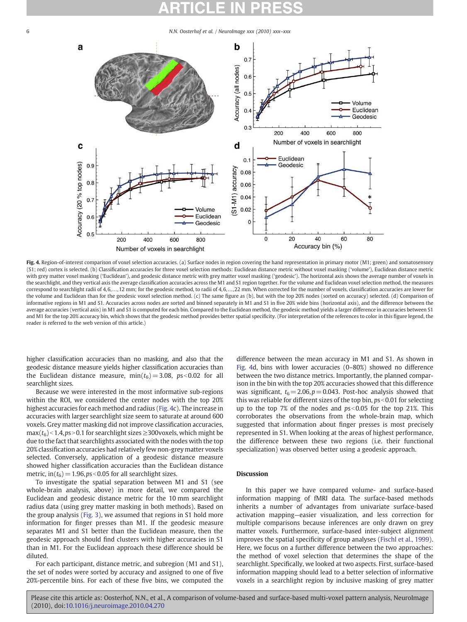### <span id="page-5-0"></span>6 N.N. Oosterhof et al. / NeuroImage xxx (2010) xxx–xxx



Fig. 4. Region-of-interest comparison of voxel selection accuracies. (a) Surface nodes in region covering the hand representation in primary motor (M1; green) and somatosensory (S1; red) cortex is selected. (b) Classification accuracies for three voxel selection methods: Euclidean distance metric without voxel masking ('volume'), Euclidean distance metric with grey matter voxel masking ('Euclidean'), and geodesic distance metric with grey matter voxel masking ('geodesic'). The horizontal axis shows the average number of voxels in the searchlight, and they vertical axis the average classification accuracies across the M1 and S1 region together. For the volume and Euclidean voxel selection method, the measures correspond to searchlight radii of 4, 6, ..., 12 mm; for the geodesic method, to radii of 4, 6, ..., 22 mm. When corrected for the number of voxels, classification accuracies are lower for the volume and Euclidean than for the geodesic voxel selection method. (c) The same figure as (b), but with the top 20% nodes (sorted on accuracy) selected. (d) Comparison of informative regions in M1 and S1. Accuracies across nodes are sorted and binned separately in M1 and S1 in five 20% wide bins (horizontal axis), and the difference between the average accuracies (vertical axis) in M1 and S1 is computed for each bin. Compared to the Euclidean method, the geodesic method yields a larger difference in accuracies between S1 and M1 for the top 20% accuracy bin, which shows that the geodesic method provides better spatial specificity. (For interpretation of the references to color in this figure legend, the reader is referred to the web version of this article.)

higher classification accuracies than no masking, and also that the geodesic distance measure yields higher classification accuracies than the Euclidean distance measure,  $min(t_6) = 3.08$ ,  $ps < 0.02$  for all searchlight sizes.

Because we were interested in the most informative sub-regions within the ROI, we considered the center nodes with the top 20% highest accuracies for each method and radius (Fig. 4c). The increase in accuracies with larger searchlight size seem to saturate at around 600 voxels. Grey matter masking did not improve classification accuracies,  $max(t_6)$  < 1.4, ps > 0.1 for searchlight sizes  $\geq$ 300voxels, which might be due to the fact that searchlights associated with the nodes with the top 20% classification accuracies had relatively few non-grey matter voxels selected. Conversely, application of a geodesic distance measure showed higher classification accuracies than the Euclidean distance metric, in( $t_6$ ) = 1.96,ps < 0.05 for all searchlight sizes.

To investigate the spatial separation between M1 and S1 (see whole-brain analysis, above) in more detail, we compared the Euclidean and geodesic distance metric for the 10 mm searchlight radius data (using grey matter masking in both methods). Based on the group analysis [\(Fig. 3\)](#page-4-0), we assumed that regions in S1 hold more information for finger presses than M1. If the geodesic measure separates M1 and S1 better than the Euclidean measure, then the geodesic approach should find clusters with higher accuracies in S1 than in M1. For the Euclidean approach these difference should be diluted.

For each participant, distance metric, and subregion (M1 and S1), the set of nodes were sorted by accuracy and assigned to one of five 20%-percentile bins. For each of these five bins, we computed the difference between the mean accuracy in M1 and S1. As shown in Fig. 4d, bins with lower accuracies (0–80%) showed no difference between the two distance metrics. Importantly, the planned comparison in the bin with the top 20% accuracies showed that this difference was significant,  $t_6 = 2.06, p = 0.043$ . Post-hoc analysis showed that this was reliable for different sizes of the top bin,  $ps<0.01$  for selecting up to the top 7% of the nodes and  $ps<0.05$  for the top 21%. This corroborates the observations from the whole-brain map, which suggested that information about finger presses is most precisely represented in S1. When looking at the areas of highest performance, the difference between these two regions (i.e. their functional specialization) was observed better using a geodesic approach.

### **Discussion**

In this paper we have compared volume- and surface-based information mapping of fMRI data. The surface-based methods inherits a number of advantages from univariate surface-based activation mapping—easier visualization, and less correction for multiple comparisons because inferences are only drawn on grey matter voxels. Furthermore, surface-based inter-subject alignment improves the spatial specificity of group analyses [\(Fischl et al., 1999](#page-6-0)). Here, we focus on a further difference between the two approaches: the method of voxel selection that determines the shape of the searchlight. Specifically, we looked at two aspects. First, surface-based information mapping should lead to a better selection of informative voxels in a searchlight region by inclusive masking of grey matter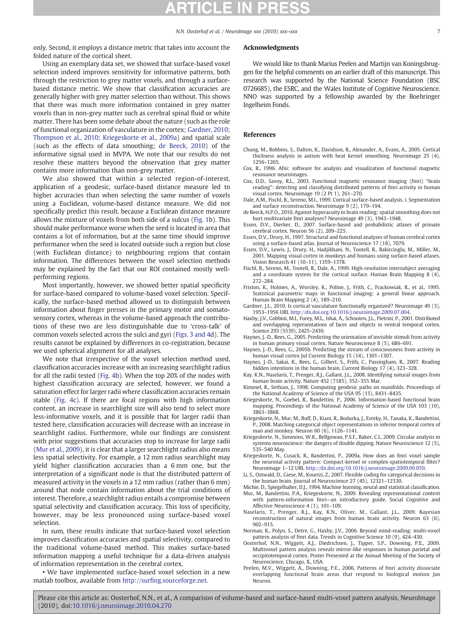<span id="page-6-0"></span>only. Second, it employs a distance metric that takes into account the folded nature of the cortical sheet.

### Acknowledgments

Using an exemplary data set, we showed that surface-based voxel selection indeed improves sensitivity for informative patterns, both through the restriction to grey matter voxels, and through a surfacebased distance metric. We show that classification accuracies are generally higher with grey matter selection than without. This shows that there was much more information contained in grey matter voxels than in non-grey matter such as cerebral spinal fluid or white matter. There has been some debate about the nature (such as the role of functional organization of vasculature in the cortex; Gardner, 2010; Thompson et al., 2010; Kriegeskorte et al., 2009a) and spatial scale (such as the effects of data smoothing; de Beeck, 2010) of the informative signal used in MVPA. We note that our results do not resolve these matters beyond the observation that grey matter

contains more information than non-grey matter. We also showed that within a selected region-of-interest, application of a geodesic, surface-based distance measure led to higher accuracies than when selecting the same number of voxels using a Euclidean, volume-based distance measure. We did not specifically predict this result, because a Euclidean distance measure allows the mixture of voxels from both side of a sulcus [\(Fig. 1b](#page-2-0)). This should make performance worse when the seed is located in area that contains a lot of information, but at the same time should improve performance when the seed is located outside such a region but close (with Euclidean distance) to neighbouring regions that contain information. The differences between the voxel selection methods may be explained by the fact that our ROI contained mostly wellperforming regions.

Most importantly, however, we showed better spatial specificity for surface-based compared to volume-based voxel selection. Specifically, the surface-based method allowed us to distinguish between information about finger presses in the primary motor and somatosensory cortex, whereas in the volume-based approach the contributions of these two are less distinguishable due to 'cross-talk' of common voxels selected across the sulci and gyri [\(Figs. 3 and 4](#page-4-0)d). The results cannot be explained by differences in co-registration, because we used spherical alignment for all analyses.

We note that irrespective of the voxel selection method used, classification accuracies increase with an increasing searchlight radius for all the radii tested ([Fig. 4](#page-5-0)b). When the top 20% of the nodes with highest classification accuracy are selected, however, we found a saturation effect for larger radii where classification accuracies remain stable ([Fig. 4](#page-5-0)c). If there are focal regions with high information content, an increase in searchlight size will also tend to select more less-informative voxels, and it is possible that for larger radii than tested here, classification accuracies will decrease with an increase in searchlight radius. Furthermore, while our findings are consistent with prior suggestions that accuracies stop to increase for large radii (Mur et al., 2009), it is clear that a larger searchlight radius also means less spatial selectivity. For example, a 12 mm radius searchlight may yield higher classification accuracies than a 6 mm one, but the interpretation of a significant node is that the distributed pattern of measured activity in the voxels in a 12 mm radius (rather than 6 mm) around that node contain information about the trial conditions of interest. Therefore, a searchlight radius entails a compromise between spatial selectivity and classification accuracy. This loss of specificity, however, may be less pronounced using surface-based voxel selection.

In sum, these results indicate that surface-based voxel selection improves classification accuracies and spatial selectivity, compared to the traditional volume-based method. This makes surface-based information mapping a useful technique for a data-driven analysis of information representation in the cerebral cortex.

• We have implemented surface-based voxel selection in a new matlab toolbox, available from http://surfing.sourceforge.net.

We would like to thank Marius Peelen and Martijn van Koningsbruggen for the helpful comments on an earlier draft of this manuscript. This research was supported by the National Science Foundation (BSC 0726685), the ESRC, and the Wales Institute of Cognitive Neuroscience. NNO was supported by a fellowship awarded by the Boehringer Ingelheim Fonds.

### References

- Chung, M., Robbins, S., Dalton, K., Davidson, R., Alexander, A., Evans, A., 2005. Cortical thickness analysis in autism with heat kernel smoothing. Neuroimage 25 (4), 1256–1265.
- Cox, R., 1996. Afni: software for analysis and visualization of functional magnetic resonance neuroimages.
- Cox, D.D., Savoy, R.L., 2003. Functional magnetic resonance imaging (fmri) "brain reading": detecting and classifying distributed patterns of fmri activity in human visual cortex. Neuroimage 19 (2 Pt 1), 261–270.
- Dale, A.M., Fischl, B., Sereno, M.I., 1999. Cortical surface-based analysis. i. Segmentation and surface reconstruction. Neuroimage 9 (2), 179–194.
- de Beeck, H.P.O., 2010. Against hyperacuity in brain reading: spatial smoothing does not hurt multivariate fmri analyses? Neuroimage 49 (3), 1943–1948.
- Essen, D.V., Dierker, D., 2007. Surface-based and probabilistic atlases of primate cerebral cortex. Neuron 56 (2), 209–225.
- Essen, D.V., Drury, H., 1997. Structural and functional analyses of human cerebral cortex using a surface-based atlas. Journal of Neuroscience 17 (18), 7079.
- Essen, D.V., Lewis, J., Drury, H., Hadjikhani, N., Tootell, R., Bakircioglu, M., Miller, M., 2001. Mapping visual cortex in monkeys and humans using surface-based atlases. Vision Research 41 (10–11), 1359–1378.
- Fischl, B., Sereno, M., Tootell, R., Dale, A., 1999. High-resolution intersubject averaging and a coordinate system for the cortical surface. Human Brain Mapping 8 (4), 272–284.
- Friston, K., Holmes, A., Worsley, K., Poline, J., Frith, C., Frackowiak, R., et al., 1995. Statistical parametric maps in functional imaging: a general linear approach. Human Brain Mapping 2 (4), 189–210.
- Gardner, J.L., 2010. Is cortical vasculature functionally organized? Neuroimage 49 (3), 1953–1956 URL http://dx.doi.org/10.1016/j.neuroimage.2009.07.004.
- Haxby, J.V., Gobbini, M.I., Furey, M.L., Ishai, A., Schouten, J.L., Pietrini, P., 2001. Distributed and overlapping representations of faces and objects in ventral temporal cortex. Science 293 (5539), 2425–2430.
- Haynes, J.-D., Rees, G., 2005. Predicting the orientation of invisible stimuli from activity in human primary visual cortex. Nature Neuroscience 8 (5), 686–691.
- Haynes, J.-D., Rees, G., 2005b. Predicting the stream of consciousness from activity in human visual cortex Jul Current Biology 15 (14), 1301–1307.
- Haynes, J.-D., Sakai, K., Rees, G., Gilbert, S., Frith, C., Passingham, R., 2007. Reading hidden intentions in the human brain. Current Biology 17 (4), 323–328.
- Kay, K.N., Naselaris, T., Prenger, R.J., Gallant, J.L., 2008. Identifying natural images from human brain activity. Nature 452 (7185), 352–355 Mar.
- Kimmel, R., Sethian, J., 1998. Computing geodesic paths on manifolds. Proceedings of the National Academy of Science of the USA 95 (15), 8431–8435.
- Kriegeskorte, N., Goebel, R., Bandettini, P., 2006. Information-based functional brain mapping. Proceedings of the National Academy of Science of the USA 103 (10), 3863–3868.
- Kriegeskorte, N., Mur, M., Ruff, D., Kiani, R., Bodurka, J., Esteky, H., Tanaka, K., Bandettini, P., 2008. Matching categorical object representations in inferior temporal cortex of man and monkey. Neuron 60 (6), 1126–1141.
- Kriegeskorte, N., Simmons, W.K., Bellgowan, P.S.F., Baker, C.I., 2009. Circular analysis in systems neuroscience: the dangers of double dipping. Nature Neuroscience 12 (5), 535–540 May.
- Kriegeskorte, N., Cusack, R., Bandettini, P., 2009a. How does an fmri voxel sample the neuronal activity pattern: Compact-kernel or complex-spatiotemporal filter? Neuroimage 1–12 URL http://dx.doi.org/10.1016/j.neuroimage.2009.09.059.
- Li, S., Ostwald, D., Giese, M., Kourtzi, Z., 2007. Flexible coding for categorical decisions in the human brain. Journal of Neuroscience 27 (45), 12321–12330.
- Michie, D., Spiegelhalter, D.J., 1994. Machine learning, neural and statistical classification. Mur, M., Bandettini, P.A., Kriegeskorte, N., 2009. Revealing representational content with pattern-information fmri—an introductory guide. Social Cognitive and Affective Neuroscience 4 (1), 101–109.
- Naselaris, T., Prenger, R.J., Kay, K.N., Oliver, M., Gallant, J.L., 2009. Bayesian reconstruction of natural images from human brain activity. Neuron 63 (6), 902–915.
- Norman, K., Polyn, S., Detre, G., Haxby, J.V., 2006. Beyond mind-reading: multi-voxel pattern analysis of fmri data. Trends in Cognitive Science 10 (9), 424–430.
- Oosterhof, N.N., Wiggett, A.J., Diedrichsen, J., Tipper, S.P., Downing, P.E., 2009. Multivoxel pattern analysis reveals mirror-like responses in human parietal and occipitotemporal cortex. Poster Presented at the Annual Meeting of the Society of Neuroscience, Chicago, IL, USA.
- Peelen, M.V., Wiggett, A., Downing, P.E., 2006. Patterns of fmri activity dissociate overlapping functional brain areas that respond to biological motion Jan Neuron.